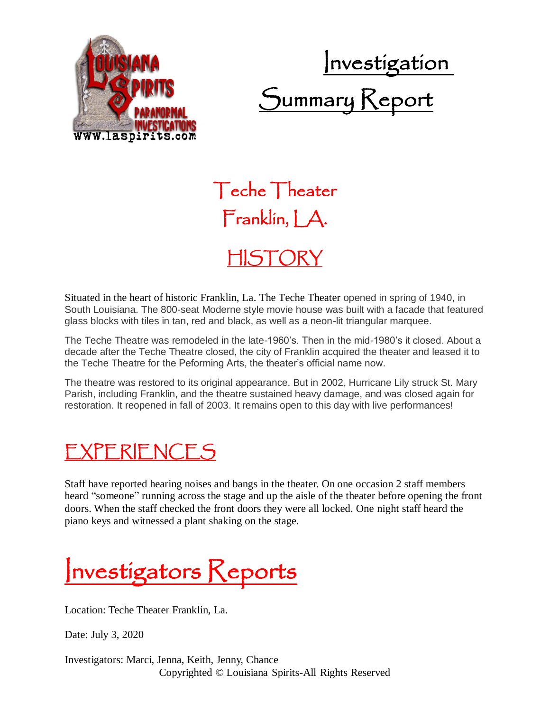



Teche Theater Franklin, LA.

## HISTORY

Situated in the heart of historic Franklin, La. The Teche Theater opened in spring of 1940, in South Louisiana. The 800-seat Moderne style movie house was built with a facade that featured glass blocks with tiles in tan, red and black, as well as a neon-lit triangular marquee.

The Teche Theatre was remodeled in the late-1960's. Then in the mid-1980's it closed. About a decade after the Teche Theatre closed, the city of Franklin acquired the theater and leased it to the Teche Theatre for the Peforming Arts, the theater's official name now.

The theatre was restored to its original appearance. But in 2002, Hurricane Lily struck St. Mary Parish, including Franklin, and the theatre sustained heavy damage, and was closed again for restoration. It reopened in fall of 2003. It remains open to this day with live performances!

## EXPERIENCES

Staff have reported hearing noises and bangs in the theater. On one occasion 2 staff members heard "someone" running across the stage and up the aisle of the theater before opening the front doors. When the staff checked the front doors they were all locked. One night staff heard the piano keys and witnessed a plant shaking on the stage.

Investigators Reports

Location: Teche Theater Franklin, La.

Date: July 3, 2020

Copyrighted © Louisiana Spirits-All Rights Reserved Investigators: Marci, Jenna, Keith, Jenny, Chance